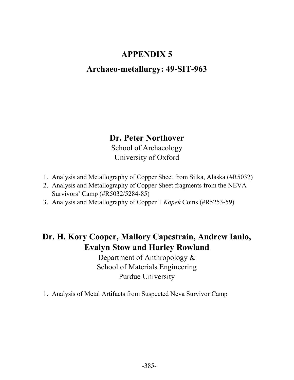## APPENDIX 5

## Archaeo-metallurgy: 49-SIT-963

### Dr. Peter Northover

School of Archaeology University of Oxford

- 1. Analysis and Metallography of Copper Sheet from Sitka, Alaska (#R5032)
- 2. Analysis and Metallography of Copper Sheet fragments from the NEVA Survivors' Camp (#R5032/5284-85)
- 3. Analysis and Metallography of Copper 1 Kopek Coins (#R5253-59)

# Dr. H. Kory Cooper, Mallory Capestrain, Andrew Ianlo, Evalyn Stow and Harley Rowland

Department of Anthropology & School of Materials Engineering Purdue University

1. Analysis of Metal Artifacts from Suspected Neva Survivor Camp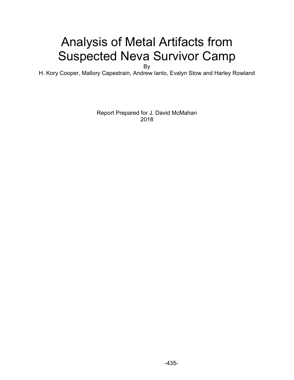# Analysis of Metal Artifacts from Suspected Neva Survivor Camp

By

H. Kory Cooper, Mallory Capestrain, Andrew Ianlo, Evalyn Stow and Harley Rowland

Report Prepared for J. David McMahan 2018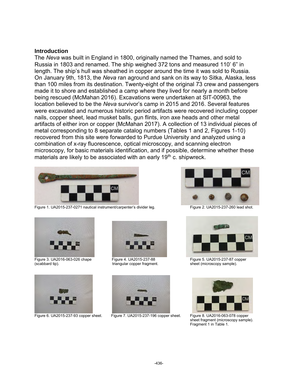#### **Introduction**

The *Neva* was built in England in 1800, originally named the Thames, and sold to Russia in 1803 and renamed. The ship weighed 372 tons and measured 110' 6" in length. The ship's hull was sheathed in copper around the time it was sold to Russia. On January 9th, 1813, the *Neva* ran aground and sank on its way to Sitka, Alaska, less than 100 miles from its destination. Twenty-eight of the original 73 crew and passengers made it to shore and established a camp where they lived for nearly a month before being rescued (McMahan 2016). Excavations were undertaken at SIT-00963, the location believed to be the *Neva* survivor's camp in 2015 and 2016. Several features were excavated and numerous historic period artifacts were recovered including copper nails, copper sheet, lead musket balls, gun flints, iron axe heads and other metal artifacts of either iron or copper (McMahan 2017). A collection of 13 individual pieces of metal corresponding to 8 separate catalog numbers (Tables 1 and 2, Figures 1-10) recovered from this site were forwarded to Purdue University and analyzed using a combination of x-ray fluorescence, optical microscopy, and scanning electron microscopy, for basic materials identification, and if possible, determine whether these materials are likely to be associated with an early  $19<sup>th</sup>$  c. shipwreck.



Figure 1. UA2015-237-0271 nautical instrument/carpenter's divider leg. Figure 2. UA2015-237-260 lead shot.





Figure 3. UA2016-063-026 chape Figure 4. UA2015-237-88 Figure 5. UA2015-237-87 copper (scabbard tip).<br>(scabbard tip). example). triangular copper fragment. sheet (microscopy sample).





sheet (microscopy sample).





Figure 6. UA2015-237-93 copper sheet. Figure 7. UA2015-237-196 copper sheet. Figure 8. UA2016-063-078 copper



sheet fragment (microscopy sample). Fragment 1 in Table 1.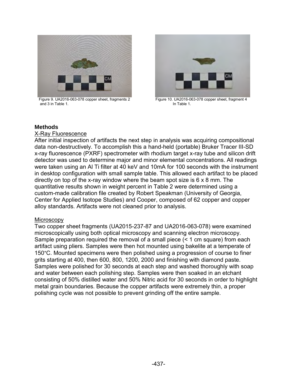

Figure 9. UA2016-063-078 copper sheet, fragments 2<br>and 3 in Table 1.<br>In Table 1.<br>In Table 1. and 3 in Table 1.



#### **Methods**

#### X-Ray Fluorescence

After initial inspection of artifacts the next step in analysis was acquiring compositional data non-destructively. To accomplish this a hand-held (portable) Bruker Tracer III-SD x-ray fluorescence (PXRF) spectrometer with rhodium target x-ray tube and silicon drift detector was used to determine major and minor elemental concentrations. All readings were taken using an Al Ti filter at 40 keV and 10mA for 100 seconds with the instrument in desktop configuration with small sample table. This allowed each artifact to be placed directly on top of the x-ray window where the beam spot size is 6 x 8 mm. The quantitative results shown in weight percent in Table 2 were determined using a custom-made calibration file created by Robert Speakman (University of Georgia, Center for Applied Isotope Studies) and Cooper, composed of 62 copper and copper alloy standards. Artifacts were not cleaned prior to analysis.

#### **Microscopy**

Two copper sheet fragments (UA2015-237-87 and UA2016-063-078) were examined microscopically using both optical microscopy and scanning electron microscopy. Sample preparation required the removal of a small piece (< 1 cm square) from each artifact using pliers. Samples were then hot mounted using bakelite at a temperate of 150°C. Mounted specimens were then polished using a progression of course to finer grits starting at 400, then 600, 800, 1200, 2000 and finishing with diamond paste. Samples were polished for 30 seconds at each step and washed thoroughly with soap and water between each polishing step. Samples were then soaked in an etchant consisting of 50% distilled water and 50% Nitric acid for 30 seconds in order to highlight metal grain boundaries. Because the copper artifacts were extremely thin, a proper polishing cycle was not possible to prevent grinding off the entire sample.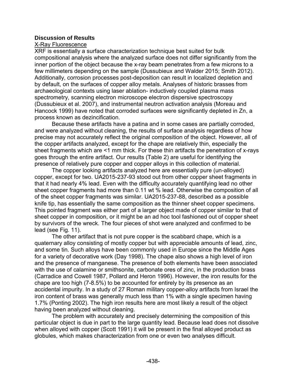#### **Discussion of Results**

#### X-Ray Fluorescence

XRF is essentially a surface characterization technique best suited for bulk compositional analysis where the analyzed surface does not differ significantly from the inner portion of the object because the x-ray beam penetrates from a few microns to a few millimeters depending on the sample (Dussubieux and Walder 2015; Smith 2012). Additionally, corrosion processes post-deposition can result in localized depletion and by default, on the surfaces of copper alloy metals. Analyses of historic brasses from archaeological contexts using laser ablation- inductively coupled plasma mass spectrometry, scanning electron microscope electron dispersive spectroscopy (Dussubieux et al. 2007), and instrumental neutron activation analysis (Moreau and Hancock 1999) have noted that corroded surfaces were significantly depleted in Zn, a process known as dezincification.

Because these artifacts have a patina and in some cases are partially corroded, and were analyzed without cleaning, the results of surface analysis regardless of how precise may not accurately reflect the original composition of the object. However, all of the copper artifacts analyzed, except for the chape are relatively thin, especially the sheet fragments which are <1 mm thick. For these thin artifacts the penetration of x-rays goes through the entire artifact. Our results (Table 2) are useful for identifying the presence of relatively pure copper and copper alloys in this collection of material.

The copper looking artifacts analyzed here are essentially pure (un-alloyed) copper, except for two. UA2015-237-93 stood out from other copper sheet fragments in that it had nearly 4% lead. Even with the difficulty accurately quantifying lead no other sheet copper fragments had more than 0.11 wt % lead. Otherwise the composition of all of the sheet copper fragments was similar. UA2015-237-88, described as a possible knife tip, has essentially the same composition as the thinner sheet copper specimens. This pointed fragment was either part of a larger object made of copper similar to that of sheet copper in composition, or it might be an ad hoc tool fashioned out of copper sheet by survivors of the wreck. The four pieces of shot were analyzed and confirmed to be lead (see Fig. 11).

The other artifact that is not pure copper is the scabbard chape, which is a quaternary alloy consisting of mostly copper but with appreciable amounts of lead, zinc, and some tin. Such alloys have been commonly used in Europe since the Middle Ages for a variety of decorative work (Day 1998). The chape also shows a high level of iron and the presence of manganese. The presence of both elements have been associated with the use of calamine or smithsonite, carbonate ores of zinc, in the production brass (Carradice and Cowell 1987, Pollard and Heron 1996). However, the iron results for the chape are too high (7-8.5%) to be accounted for entirely by its presence as an accidental impurity. In a study of 27 Roman military copper-alloy artifacts from Israel the iron content of brass was generally much less than 1% with a single specimen having 1.7% (Ponting 2002). The high iron results here are most likely a result of the object having been analyzed without cleaning.

The problem with accurately and precisely determining the composition of this particular object is due in part to the large quantity lead. Because lead does not dissolve when alloyed with copper (Scott 1991) it will be present in the final alloyed product as globules, which makes characterization from one or even two analyses difficult.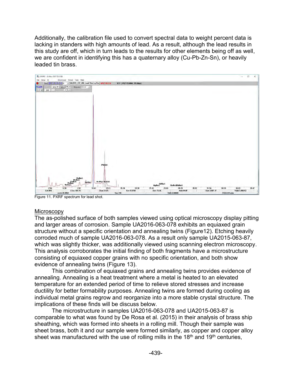Additionally, the calibration file used to convert spectral data to weight percent data is lacking in standers with high amounts of lead. As a result, although the lead results in this study are off, which in turn leads to the results for other elements being off as well, we are confident in identifying this has a quaternary alloy (Cu-Pb-Zn-Sn), or heavily leaded tin brass.



Figure 11. PXRF spectrum for lead shot.

#### **Microscopy**

The as-polished surface of both samples viewed using optical microscopy display pitting and larger areas of corrosion. Sample UA2016-063-078 exhibits an equiaxed grain structure without a specific orientation and annealing twins (Figure12). Etching heavily corroded much of sample UA2016-063-078. As a result only sample UA2015-063-87, which was slightly thicker, was additionally viewed using scanning electron microscopy. This analysis corroborates the initial finding of both fragments have a microstructure consisting of equiaxed copper grains with no specific orientation, and both show evidence of annealing twins (Figure 13).

This combination of equiaxed grains and annealing twins provides evidence of annealing. Annealing is a heat treatment where a metal is heated to an elevated temperature for an extended period of time to relieve stored stresses and increase ductility for better formability purposes. Annealing twins are formed during cooling as individual metal grains regrow and reorganize into a more stable crystal structure. The implications of these finds will be discuss below.

The microstructure in samples UA2016-063-078 and UA2015-063-87 is comparable to what was found by De Rosa et al. (2015) in their analysis of brass ship sheathing, which was formed into sheets in a rolling mill. Though their sample was sheet brass, both it and our sample were formed similarly, as copper and copper alloy sheet was manufactured with the use of rolling mills in the  $18<sup>th</sup>$  and  $19<sup>th</sup>$  centuries,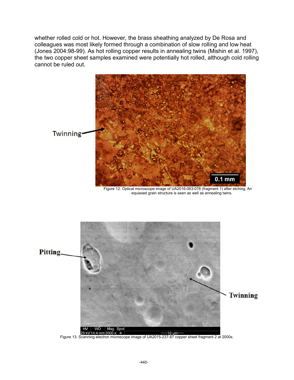whether rolled cold or hot. However, the brass sheathing analyzed by De Rosa and colleagues was most likely formed through a combination of slow rolling and low heat (Jones 2004:98-99). As hot rolling copper results in annealing twins (Mishin et al. 1997), the two copper sheet samples examined were potentially hot rolled, although cold rolling cannot be ruled out.



Figure 12. Optical microscope image of UA2016-063-078 (fragment 1) after etching. An equiaxed grain structure is seen as well as annealing twins.



Figure 13. Scanning electron microscope image of UA2015-237-87 copper sheet fragment 2 at 2000x.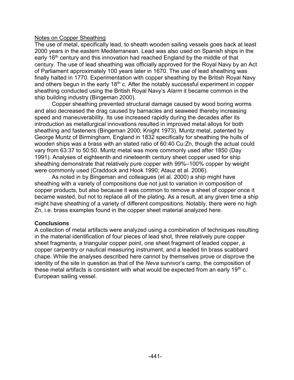#### Notes on Copper Sheathing

The use of metal, specifically lead, to sheath wooden sailing vessels goes back at least 2000 years in the eastern Mediterranean. Lead was also used on Spanish ships in the early 16<sup>th</sup> century and this innovation had reached England by the middle of that century. The use of lead sheathing was officially approved for the Royal Navy by an Act of Parliament approximately 100 years later in 1670. The use of lead sheathing was finally halted in 1770. Experimentation with copper sheathing by the British Royal Navy and others begun in the early 18<sup>th</sup> c. After the notably successful experiment in copper sheathing conducted using the British Royal Navy's *Alarm* it became common in the ship building industry (Bingeman 2000).

Copper sheathing prevented structural damage caused by wood boring worms and also decreased the drag caused by barnacles and seaweed thereby increasing speed and maneuverability. Its use increased rapidly during the decades after its introduction as metallurgical innovations resulted in improved metal alloys for both sheathing and fasteners (Bingeman 2000; Knight 1973). Muntz metal, patented by George Muntz of Birmingham, England in 1832 specifically for sheathing the hulls of wooden ships was a brass with an stated ratio of 60:40 Cu:Zn, though the actual could vary from 63:37 to 50:50. Muntz metal was more commonly used after 1850 (Day 1991). Analyses of eighteenth and nineteenth century sheet copper used for ship sheathing demonstrate that relatively pure copper with 99%–100% copper by weight were commonly used (Craddock and Hook 1990; Atauz et al. 2006).

As noted in by Bingeman and colleagues (et al. 2000) a ship might have sheathing with a variety of compositions due not just to variation in composition of copper products, but also because it was common to remove a sheet of copper once it became wasted, but not to replace all of the plating. As a result, at any given time a ship might have sheathing of a variety of different compositions. Notably, there were no high Zn, i.e. brass examples found in the copper sheet material analyzed here.

#### **Conclusions**

A collection of metal artifacts were analyzed using a combination of techniques resulting in the material identification of four pieces of lead shot, three relatively pure copper sheet fragments, a triangular copper point, one sheet fragment of leaded copper, a copper carpentry or nautical measuring instrument, and a leaded tin brass scabbard chape. While the analyses described here cannot by themselves prove or disprove the identity of the site in question as that of the *Neva* survivor's camp, the composition of these metal artifacts is consistent with what would be expected from an early 19<sup>th</sup> c. European sailing vessel.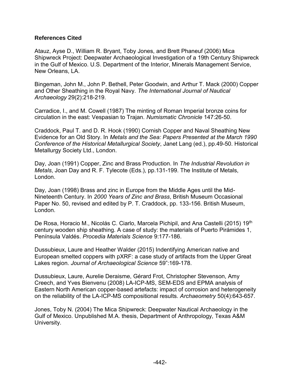#### **References Cited**

Atauz, Ayse D., William R. Bryant, Toby Jones, and Brett Phaneuf (2006) Mica Shipwreck Project: Deepwater Archaeological Investigation of a 19th Century Shipwreck in the Gulf of Mexico. U.S. Department of the Interior, Minerals Management Service, New Orleans, LA.

Bingeman, John M., John P. Bethell, Peter Goodwin, and Arthur T. Mack (2000) Copper and Other Sheathing in the Royal Navy. *The International Journal of Nautical Archaeology* 29(2):218-219.

Carradice, I., and M. Cowell (1987) The minting of Roman Imperial bronze coins for circulation in the east: Vespasian to Trajan. *Numismatic Chronicle* 147:26-50.

Craddock, Paul T. and D. R. Hook (1990) Cornish Copper and Naval Sheathing New Evidence for an Old Story. In *Metals and the Sea: Papers Presented at the March 1990 Conference of the Historical Metallurgical Society*, Janet Lang (ed.), pp.49-50. Historical Metallurgy Society Ltd., London.

Day, Joan (1991) Copper, Zinc and Brass Production. In *The Industrial Revolution in Metals*, Joan Day and R. F. Tylecote (Eds.), pp.131-199. The Institute of Metals, London.

Day, Joan (1998) Brass and zinc in Europe from the Middle Ages until the Mid-Nineteenth Century. In *2000 Years of Zinc and Brass*, British Museum Occasional Paper No. 50, revised and edited by P. T. Craddock, pp. 133-156. British Museum, London.

De Rosa, Horacio M., Nicolás C. Ciarlo, Marcela Pichipil, and Ana Castelli (2015) 19<sup>th</sup> century wooden ship sheathing. A case of study: the materials of Puerto Pirámides 1, Península Valdés. *Procedia Materials Science* 9:177-186.

Dussubieux, Laure and Heather Walder (2015) Indentifying American native and European smelted coppers with pXRF: a case study of artifacts from the Upper Great Lakes region. *Journal of Archaeological Science* 59":169-178.

Dussubieux, Laure, Aurelie Deraisme, Gérard Frot, Christopher Stevenson, Amy Creech, and Yves Bienvenu (2008) LA-ICP-MS, SEM-EDS and EPMA analysis of Eastern North American copper-based artefacts: impact of corrosion and heterogeneity on the reliability of the LA-ICP-MS compositional results. *Archaeometry* 50(4):643-657.

Jones, Toby N. (2004) The Mica Shipwreck: Deepwater Nautical Archaeology in the Gulf of Mexico. Unpublished M.A. thesis, Department of Anthropology, Texas A&M University.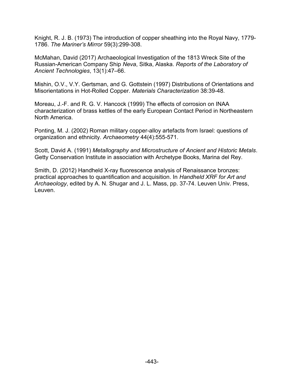Knight, R. J. B. (1973) The introduction of copper sheathing into the Royal Navy, 1779- 1786. *The Mariner's Mirror* 59(3):299-308.

McMahan, David (2017) Archaeological Investigation of the 1813 Wreck Site of the Russian-American Company Ship *Neva*, Sitka, Alaska. *Reports of the Laboratory of Ancient Technologies*, 13(1):47–66.

Mishin, O.V., V.Y. Gertsman, and G. Gottstein (1997) Distributions of Orientations and Misorientations in Hot-Rolled Copper. *Materials Characterization* 38:39-48.

Moreau, J.-F. and R. G. V. Hancock (1999) The effects of corrosion on INAA characterization of brass kettles of the early European Contact Period in Northeastern North America.

Ponting, M. J. (2002) Roman military copper-alloy artefacts from Israel: questions of organization and ethnicity. *Archaeometry* 44(4):555-571.

Scott, David A. (1991) *Metallography and Microstructure of Ancient and Historic Metals*. Getty Conservation Institute in association with Archetype Books, Marina del Rey.

Smith, D. (2012) Handheld X-ray fluorescence analysis of Renaissance bronzes: practical approaches to quantification and acquisition. In *Handheld XRF for Art and Archaeology*, edited by A. N. Shugar and J. L. Mass, pp. 37-74. Leuven Univ. Press, Leuven.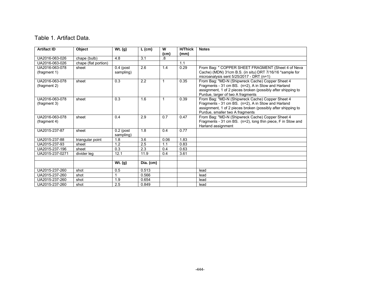#### Table 1. Artifact Data.

| <b>Artifact ID</b>             | <b>Object</b>        | $\overline{W}$ t. (g)    | $L$ (cm)  | W                 | <b>H/Thick</b> | <b>Notes</b>                                                                                                                                                                                                |
|--------------------------------|----------------------|--------------------------|-----------|-------------------|----------------|-------------------------------------------------------------------------------------------------------------------------------------------------------------------------------------------------------------|
|                                |                      |                          |           | (c <sub>m</sub> ) | (mm)           |                                                                                                                                                                                                             |
| UA2016-063-026                 | chape (bulb)         | 4.8                      | 3.1       | .8                |                |                                                                                                                                                                                                             |
| UA2016-063-026                 | chape (flat portion) |                          |           |                   | 1.1            |                                                                                                                                                                                                             |
| UA2016-063-078<br>(fragment 1) | sheet                | $0.4$ (post<br>sampling) | 2.6       | 1.4               | 0.29           | From Bag: " COPPER SHEET FRAGMENT (Sheet 4 of Neva<br>Cache) (MDN) 31cm B.S. (in situ) DRT 7/16/16 *sample for<br>microanalysis sent 5/25/2017 - DRT (n=1)                                                  |
| UA2016-063-078<br>(fragment 2) | sheet                | 0.3                      | 2.2       | 1                 | 0.35           | From Bag: "MD-N (Shipwreck Cache) Copper Sheet 4<br>Fragments - 31 cm BS. (n=2), A in Stow and Harland<br>assignment, 1 of 2 pieces broken (possibly after shipping to<br>Purdue, larger of two A fragments |
| UA2016-063-078<br>(fragment 3) | sheet                | 0.3                      | 1.6       | $\mathbf 1$       | 0.39           | From Bag: "MD-N (Shipwreck Cache) Copper Sheet 4<br>Fragments - 31 cm BS. (n=2), A in Stow and Harland<br>assignment, 1 of 2 pieces broken (possibly after shipping to<br>Purdue, smaller two A fragments   |
| UA2016-063-078<br>(fragment 4) | sheet                | 0.4                      | 2.9       | 0.7               | 0.47           | From Bag: "MD-N (Shipwreck Cache) Copper Sheet 4<br>Fragments - 31 cm BS. (n=2), long thin piece, F in Stow and<br>Harland assignment                                                                       |
| UA2015-237-87                  | sheet                | $0.2$ (post<br>sampling) | 1.8       | 0.4               | 0.77           |                                                                                                                                                                                                             |
| UA2015-237-88                  | triangular point     | 1.8                      | 3.6       | 0.06              | 1.83           |                                                                                                                                                                                                             |
| UA2015-237-93                  | sheet                | 1.2                      | 2.5       | 1.1               | 0.83           |                                                                                                                                                                                                             |
| UA2015-237-196                 | sheet                | 0.3                      | 2.3       | 0.4               | 0.63           |                                                                                                                                                                                                             |
| UA2015-237-0271                | divider leg          | 12.1                     | 11.9      | 0.4               | 3.61           |                                                                                                                                                                                                             |
|                                |                      |                          |           |                   |                |                                                                                                                                                                                                             |
|                                |                      | Wt. (g)                  | Dia. (cm) |                   |                |                                                                                                                                                                                                             |
| UA2015-237-260                 | shot                 | 0.5                      | 0.513     |                   |                | lead                                                                                                                                                                                                        |
| UA2015-237-260                 | shot                 | 1                        | 0.566     |                   |                | lead                                                                                                                                                                                                        |
| UA2015-237-260                 | shot                 | 1.9                      | 0.654     |                   |                | lead                                                                                                                                                                                                        |
| UA2015-237-260                 | shot                 | 2.5                      | 0.849     |                   |                | lead                                                                                                                                                                                                        |